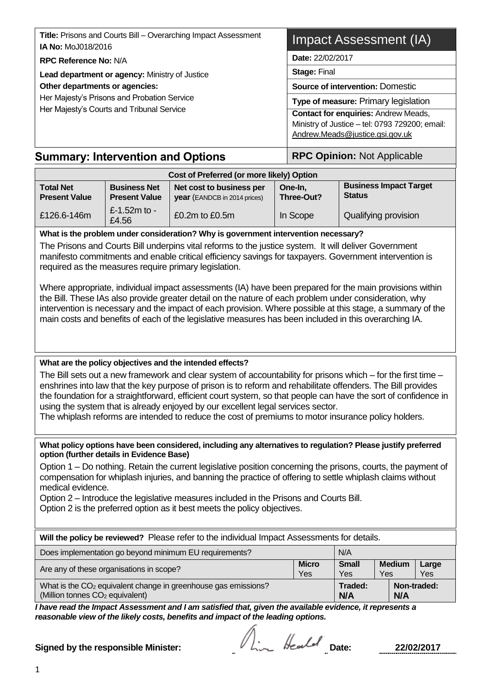**Title:** Prisons and Courts Bill – Overarching Impact Assessment **IA No:** MoJ018/2016 **RPC Reference No:** N/A **Lead department or agency:** Ministry of Justice **Other departments or agencies:**  Her Majesty's Prisons and Probation Service Her Majesty's Courts and Tribunal Service Impact Assessment (IA) **Date:** 22/02/2017 **Stage:** Final **Source of intervention:** Domestic **Type of measure:** Primary legislation **Contact for enquiries:** Andrew Meads, Ministry of Justice – tel: 0793 729200; email: [Andrew.Meads@justice.gsi.gov.uk](mailto:Andrew.Meads@justice.gsi.gov.uk) **Summary: Intervention and Options | RPC Opinion: Not Applicable** 

| Cost of Preferred (or more likely) Option |                                             |                                                                 |                       |                                                |  |  |
|-------------------------------------------|---------------------------------------------|-----------------------------------------------------------------|-----------------------|------------------------------------------------|--|--|
| <b>Total Net</b><br><b>Present Value</b>  | <b>Business Net</b><br><b>Present Value</b> | Net cost to business per<br><b>year</b> (EANDCB in 2014 prices) | One-In,<br>Three-Out? | <b>Business Impact Target</b><br><b>Status</b> |  |  |
| £126.6-146m                               | £-1.52 $m$ to -<br>£4.56                    | £0.2m to £0.5m                                                  | In Scope              | Qualifying provision                           |  |  |

**What is the problem under consideration? Why is government intervention necessary?**

The Prisons and Courts Bill underpins vital reforms to the justice system. It will deliver Government manifesto commitments and enable critical efficiency savings for taxpayers. Government intervention is required as the measures require primary legislation.

Where appropriate, individual impact assessments (IA) have been prepared for the main provisions within the Bill. These IAs also provide greater detail on the nature of each problem under consideration, why intervention is necessary and the impact of each provision. Where possible at this stage, a summary of the main costs and benefits of each of the legislative measures has been included in this overarching IA.

#### **What are the policy objectives and the intended effects?**

The Bill sets out a new framework and clear system of accountability for prisons which – for the first time – enshrines into law that the key purpose of prison is to reform and rehabilitate offenders. The Bill provides the foundation for a straightforward, efficient court system, so that people can have the sort of confidence in using the system that is already enjoyed by our excellent legal services sector.

The whiplash reforms are intended to reduce the cost of premiums to motor insurance policy holders.

#### **What policy options have been considered, including any alternatives to regulation? Please justify preferred option (further details in Evidence Base)**

Option 1 – Do nothing. Retain the current legislative position concerning the prisons, courts, the payment of compensation for whiplash injuries, and banning the practice of offering to settle whiplash claims without medical evidence.

Option 2 – Introduce the legislative measures included in the Prisons and Courts Bill.

Option 2 is the preferred option as it best meets the policy objectives.

**Will the policy be reviewed?** Please refer to the individual Impact Assessments for details. Does implementation go beyond minimum EU requirements? N/A Are any of these organisations in scope? **Micro** Yes **Small** Yes **Medium** Yes **Large** Yes What is the CO<sub>2</sub> equivalent change in greenhouse gas emissions? (Million tonnes CO<sub>2</sub> equivalent) **Traded: N/A Non-traded: N/A**

*I have read the Impact Assessment and I am satisfied that, given the available evidence, it represents a reasonable view of the likely costs, benefits and impact of the leading options.*

**Signed by the responsible Minister: Date: Date:** 22/02/2017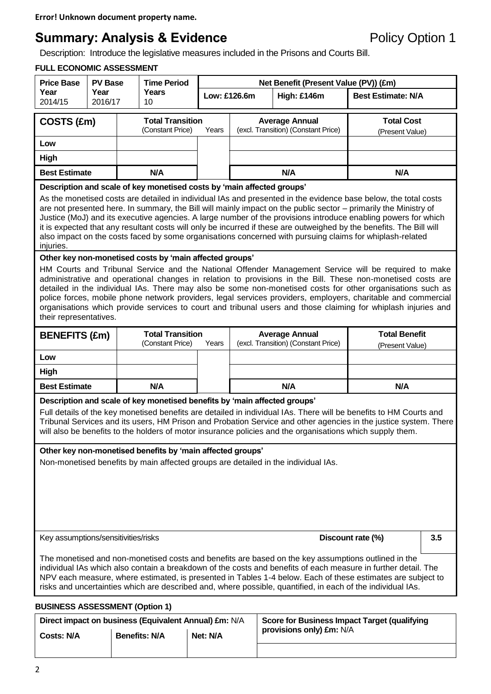## **Summary: Analysis & Evidence** Policy Option 1

Description: Introduce the legislative measures included in the Prisons and Courts Bill.

#### **FULL ECONOMIC ASSESSMENT**

| <b>Price Base</b>                                                                                                                                                                                                                                                                                                                                                                                                                                                                                                                                                                                                                                                                | <b>PV Base</b>  | <b>Time Period</b>                          |  |       |              | Net Benefit (Present Value (PV)) (£m)                                                               |                                                                                                                                                                                                                                                                                                                                              |  |
|----------------------------------------------------------------------------------------------------------------------------------------------------------------------------------------------------------------------------------------------------------------------------------------------------------------------------------------------------------------------------------------------------------------------------------------------------------------------------------------------------------------------------------------------------------------------------------------------------------------------------------------------------------------------------------|-----------------|---------------------------------------------|--|-------|--------------|-----------------------------------------------------------------------------------------------------|----------------------------------------------------------------------------------------------------------------------------------------------------------------------------------------------------------------------------------------------------------------------------------------------------------------------------------------------|--|
| Year<br>2014/15                                                                                                                                                                                                                                                                                                                                                                                                                                                                                                                                                                                                                                                                  | Year<br>2016/17 | Years<br>10                                 |  |       | Low: £126.6m | High: £146m                                                                                         | <b>Best Estimate: N/A</b>                                                                                                                                                                                                                                                                                                                    |  |
| COSTS (£m)                                                                                                                                                                                                                                                                                                                                                                                                                                                                                                                                                                                                                                                                       |                 | <b>Total Transition</b><br>(Constant Price) |  | Years |              | <b>Average Annual</b><br>(excl. Transition) (Constant Price)                                        | <b>Total Cost</b><br>(Present Value)                                                                                                                                                                                                                                                                                                         |  |
| Low                                                                                                                                                                                                                                                                                                                                                                                                                                                                                                                                                                                                                                                                              |                 |                                             |  |       |              |                                                                                                     |                                                                                                                                                                                                                                                                                                                                              |  |
| <b>High</b>                                                                                                                                                                                                                                                                                                                                                                                                                                                                                                                                                                                                                                                                      |                 |                                             |  |       |              |                                                                                                     |                                                                                                                                                                                                                                                                                                                                              |  |
| <b>Best Estimate</b>                                                                                                                                                                                                                                                                                                                                                                                                                                                                                                                                                                                                                                                             |                 | N/A                                         |  |       |              | N/A                                                                                                 | N/A                                                                                                                                                                                                                                                                                                                                          |  |
| Description and scale of key monetised costs by 'main affected groups'<br>As the monetised costs are detailed in individual IAs and presented in the evidence base below, the total costs<br>are not presented here. In summary, the Bill will mainly impact on the public sector – primarily the Ministry of<br>Justice (MoJ) and its executive agencies. A large number of the provisions introduce enabling powers for which<br>it is expected that any resultant costs will only be incurred if these are outweighed by the benefits. The Bill will<br>also impact on the costs faced by some organisations concerned with pursuing claims for whiplash-related<br>injuries. |                 |                                             |  |       |              |                                                                                                     |                                                                                                                                                                                                                                                                                                                                              |  |
| Other key non-monetised costs by 'main affected groups'<br>HM Courts and Tribunal Service and the National Offender Management Service will be required to make<br>administrative and operational changes in relation to provisions in the Bill. These non-monetised costs are<br>detailed in the individual IAs. There may also be some non-monetised costs for other organisations such as<br>police forces, mobile phone network providers, legal services providers, employers, charitable and commercial<br>organisations which provide services to court and tribunal users and those claiming for whiplash injuries and<br>their representatives.                         |                 |                                             |  |       |              |                                                                                                     |                                                                                                                                                                                                                                                                                                                                              |  |
| <b>BENEFITS (£m)</b>                                                                                                                                                                                                                                                                                                                                                                                                                                                                                                                                                                                                                                                             |                 | <b>Total Transition</b><br>(Constant Price) |  | Years |              | <b>Average Annual</b><br>(excl. Transition) (Constant Price)                                        | <b>Total Benefit</b><br>(Present Value)                                                                                                                                                                                                                                                                                                      |  |
| Low                                                                                                                                                                                                                                                                                                                                                                                                                                                                                                                                                                                                                                                                              |                 |                                             |  |       |              |                                                                                                     |                                                                                                                                                                                                                                                                                                                                              |  |
| <b>High</b>                                                                                                                                                                                                                                                                                                                                                                                                                                                                                                                                                                                                                                                                      |                 |                                             |  |       |              |                                                                                                     |                                                                                                                                                                                                                                                                                                                                              |  |
| <b>Best Estimate</b>                                                                                                                                                                                                                                                                                                                                                                                                                                                                                                                                                                                                                                                             |                 | N/A                                         |  |       |              | N/A                                                                                                 | N/A                                                                                                                                                                                                                                                                                                                                          |  |
| Description and scale of key monetised benefits by 'main affected groups'<br>Full details of the key monetised benefits are detailed in individual IAs. There will be benefits to HM Courts and<br>Tribunal Services and its users, HM Prison and Probation Service and other agencies in the justice system. There<br>will also be benefits to the holders of motor insurance policies and the organisations which supply them.<br>Other key non-monetised benefits by 'main affected groups'<br>Non-monetised benefits by main affected groups are detailed in the individual IAs.                                                                                             |                 |                                             |  |       |              |                                                                                                     |                                                                                                                                                                                                                                                                                                                                              |  |
| Key assumptions/sensitivities/risks<br>3.5<br>Discount rate (%)                                                                                                                                                                                                                                                                                                                                                                                                                                                                                                                                                                                                                  |                 |                                             |  |       |              |                                                                                                     |                                                                                                                                                                                                                                                                                                                                              |  |
|                                                                                                                                                                                                                                                                                                                                                                                                                                                                                                                                                                                                                                                                                  |                 |                                             |  |       |              | The monetised and non-monetised costs and benefits are based on the key assumptions outlined in the | individual IAs which also contain a breakdown of the costs and benefits of each measure in further detail. The<br>NPV each measure, where estimated, is presented in Tables 1-4 below. Each of these estimates are subject to<br>risks and uncertainties which are described and, where possible, quantified, in each of the individual IAs. |  |
|                                                                                                                                                                                                                                                                                                                                                                                                                                                                                                                                                                                                                                                                                  |                 | <b>BUSINESS ASSESSMENT (Option 1)</b>       |  |       |              |                                                                                                     |                                                                                                                                                                                                                                                                                                                                              |  |

|                   | Direct impact on business (Equivalent Annual) £m: N/A |          | Score for Business Impact Target (qualifying |
|-------------------|-------------------------------------------------------|----------|----------------------------------------------|
| <b>Costs: N/A</b> | <b>Benefits: N/A</b>                                  | Net: N/A | provisions only) £m: N/A                     |
|                   |                                                       |          |                                              |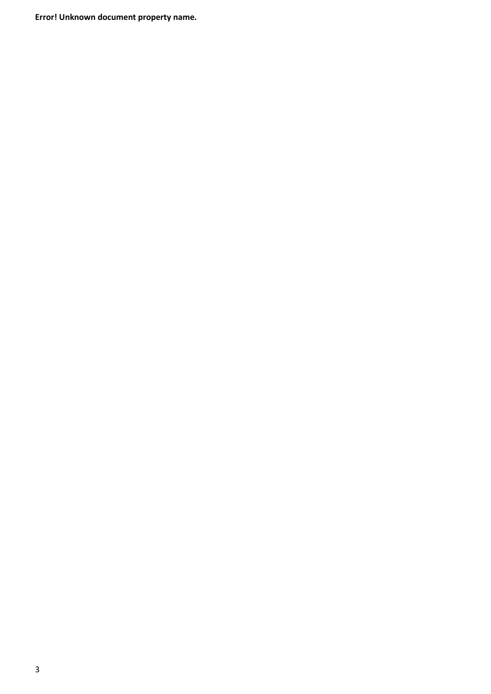**Error! Unknown document property name.**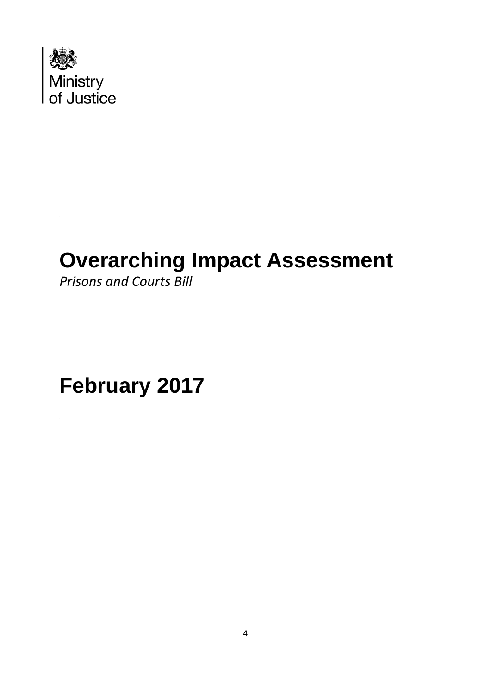

# **Overarching Impact Assessment**

*Prisons and Courts Bill*

**February 2017**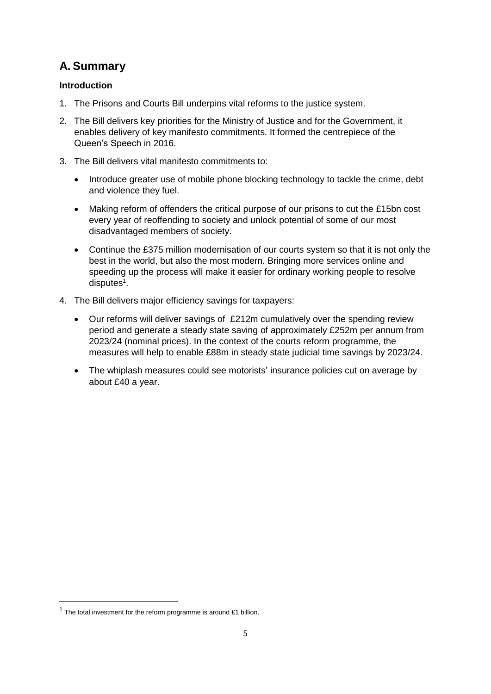## **A. Summary**

### **Introduction**

- 1. The Prisons and Courts Bill underpins vital reforms to the justice system.
- 2. The Bill delivers key priorities for the Ministry of Justice and for the Government, it enables delivery of key manifesto commitments. It formed the centrepiece of the Queen's Speech in 2016.
- 3. The Bill delivers vital manifesto commitments to:
	- Introduce greater use of mobile phone blocking technology to tackle the crime, debt and violence they fuel.
	- Making reform of offenders the critical purpose of our prisons to cut the £15bn cost every year of reoffending to society and unlock potential of some of our most disadvantaged members of society.
	- Continue the £375 million modernisation of our courts system so that it is not only the best in the world, but also the most modern. Bringing more services online and speeding up the process will make it easier for ordinary working people to resolve disputes<sup>1</sup>.
- 4. The Bill delivers major efficiency savings for taxpayers:
	- Our reforms will deliver savings of £212m cumulatively over the spending review period and generate a steady state saving of approximately £252m per annum from 2023/24 (nominal prices). In the context of the courts reform programme, the measures will help to enable £88m in steady state judicial time savings by 2023/24.
	- The whiplash measures could see motorists' insurance policies cut on average by about £40 a year.

 $\overline{a}$ 

 $1$  The total investment for the reform programme is around £1 billion.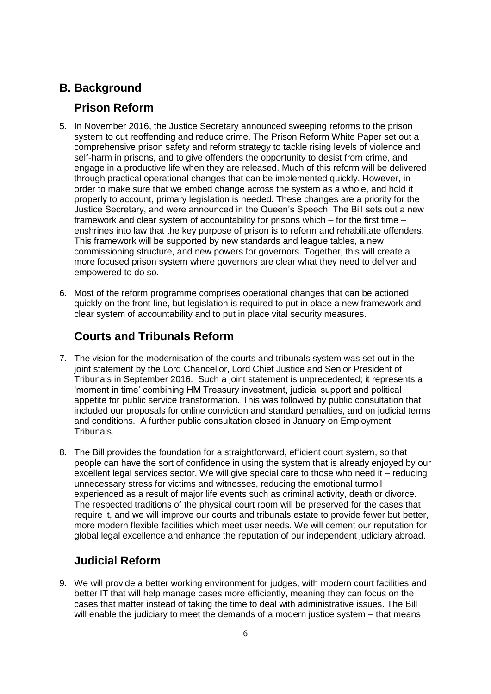## **B. Background**

## **Prison Reform**

- 5. In November 2016, the Justice Secretary announced sweeping reforms to the prison system to cut reoffending and reduce crime. The Prison Reform White Paper set out a comprehensive prison safety and reform strategy to tackle rising levels of violence and self-harm in prisons, and to give offenders the opportunity to desist from crime, and engage in a productive life when they are released. Much of this reform will be delivered through practical operational changes that can be implemented quickly. However, in order to make sure that we embed change across the system as a whole, and hold it properly to account, primary legislation is needed. These changes are a priority for the Justice Secretary, and were announced in the Queen's Speech. The Bill sets out a new framework and clear system of accountability for prisons which – for the first time – enshrines into law that the key purpose of prison is to reform and rehabilitate offenders. This framework will be supported by new standards and league tables, a new commissioning structure, and new powers for governors. Together, this will create a more focused prison system where governors are clear what they need to deliver and empowered to do so.
- 6. Most of the reform programme comprises operational changes that can be actioned quickly on the front-line, but legislation is required to put in place a new framework and clear system of accountability and to put in place vital security measures.

## **Courts and Tribunals Reform**

- 7. The vision for the modernisation of the courts and tribunals system was set out in the joint statement by the Lord Chancellor, Lord Chief Justice and Senior President of Tribunals in September 2016. Such a joint statement is unprecedented; it represents a 'moment in time' combining HM Treasury investment, judicial support and political appetite for public service transformation. This was followed by public consultation that included our proposals for online conviction and standard penalties, and on judicial terms and conditions. A further public consultation closed in January on Employment Tribunals.
- 8. The Bill provides the foundation for a straightforward, efficient court system, so that people can have the sort of confidence in using the system that is already enjoyed by our excellent legal services sector. We will give special care to those who need it – reducing unnecessary stress for victims and witnesses, reducing the emotional turmoil experienced as a result of major life events such as criminal activity, death or divorce. The respected traditions of the physical court room will be preserved for the cases that require it, and we will improve our courts and tribunals estate to provide fewer but better, more modern flexible facilities which meet user needs. We will cement our reputation for global legal excellence and enhance the reputation of our independent judiciary abroad.

## **Judicial Reform**

9. We will provide a better working environment for judges, with modern court facilities and better IT that will help manage cases more efficiently, meaning they can focus on the cases that matter instead of taking the time to deal with administrative issues. The Bill will enable the judiciary to meet the demands of a modern justice system – that means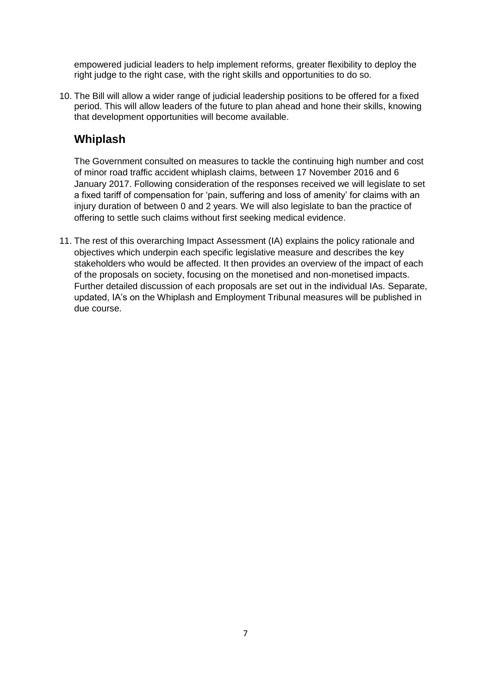empowered judicial leaders to help implement reforms, greater flexibility to deploy the right judge to the right case, with the right skills and opportunities to do so.

10. The Bill will allow a wider range of judicial leadership positions to be offered for a fixed period. This will allow leaders of the future to plan ahead and hone their skills, knowing that development opportunities will become available.

## **Whiplash**

The Government consulted on measures to tackle the continuing high number and cost of minor road traffic accident whiplash claims, between 17 November 2016 and 6 January 2017. Following consideration of the responses received we will legislate to set a fixed tariff of compensation for 'pain, suffering and loss of amenity' for claims with an injury duration of between 0 and 2 years. We will also legislate to ban the practice of offering to settle such claims without first seeking medical evidence.

11. The rest of this overarching Impact Assessment (IA) explains the policy rationale and objectives which underpin each specific legislative measure and describes the key stakeholders who would be affected. It then provides an overview of the impact of each of the proposals on society, focusing on the monetised and non-monetised impacts. Further detailed discussion of each proposals are set out in the individual IAs. Separate, updated, IA's on the Whiplash and Employment Tribunal measures will be published in due course.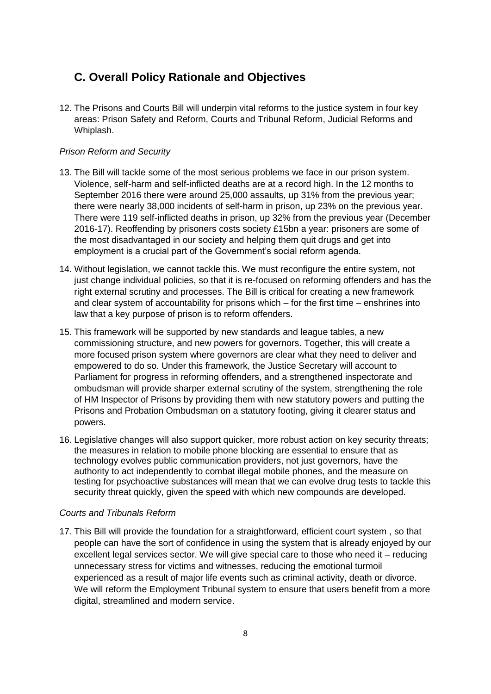## **C. Overall Policy Rationale and Objectives**

12. The Prisons and Courts Bill will underpin vital reforms to the justice system in four key areas: Prison Safety and Reform, Courts and Tribunal Reform, Judicial Reforms and Whiplash.

#### *Prison Reform and Security*

- 13. The Bill will tackle some of the most serious problems we face in our prison system. Violence, self-harm and self-inflicted deaths are at a record high. In the 12 months to September 2016 there were around 25,000 assaults, up 31% from the previous year; there were nearly 38,000 incidents of self-harm in prison, up 23% on the previous year. There were 119 self-inflicted deaths in prison, up 32% from the previous year (December 2016-17). Reoffending by prisoners costs society £15bn a year: prisoners are some of the most disadvantaged in our society and helping them quit drugs and get into employment is a crucial part of the Government's social reform agenda.
- 14. Without legislation, we cannot tackle this. We must reconfigure the entire system, not just change individual policies, so that it is re-focused on reforming offenders and has the right external scrutiny and processes. The Bill is critical for creating a new framework and clear system of accountability for prisons which – for the first time – enshrines into law that a key purpose of prison is to reform offenders.
- 15. This framework will be supported by new standards and league tables, a new commissioning structure, and new powers for governors. Together, this will create a more focused prison system where governors are clear what they need to deliver and empowered to do so. Under this framework, the Justice Secretary will account to Parliament for progress in reforming offenders, and a strengthened inspectorate and ombudsman will provide sharper external scrutiny of the system, strengthening the role of HM Inspector of Prisons by providing them with new statutory powers and putting the Prisons and Probation Ombudsman on a statutory footing, giving it clearer status and powers.
- 16. Legislative changes will also support quicker, more robust action on key security threats; the measures in relation to mobile phone blocking are essential to ensure that as technology evolves public communication providers, not just governors, have the authority to act independently to combat illegal mobile phones, and the measure on testing for psychoactive substances will mean that we can evolve drug tests to tackle this security threat quickly, given the speed with which new compounds are developed.

#### *Courts and Tribunals Reform*

17. This Bill will provide the foundation for a straightforward, efficient court system , so that people can have the sort of confidence in using the system that is already enjoyed by our excellent legal services sector. We will give special care to those who need it – reducing unnecessary stress for victims and witnesses, reducing the emotional turmoil experienced as a result of major life events such as criminal activity, death or divorce. We will reform the Employment Tribunal system to ensure that users benefit from a more digital, streamlined and modern service.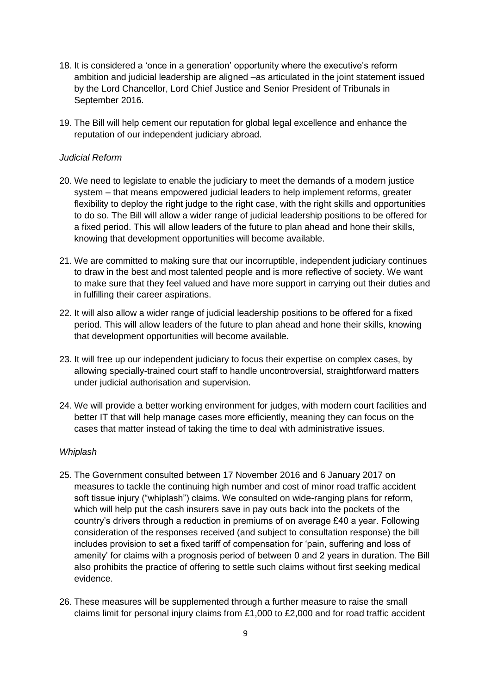- 18. It is considered a 'once in a generation' opportunity where the executive's reform ambition and judicial leadership are aligned –as articulated in the joint statement issued by the Lord Chancellor, Lord Chief Justice and Senior President of Tribunals in September 2016.
- 19. The Bill will help cement our reputation for global legal excellence and enhance the reputation of our independent judiciary abroad.

#### *Judicial Reform*

- 20. We need to legislate to enable the judiciary to meet the demands of a modern justice system – that means empowered judicial leaders to help implement reforms, greater flexibility to deploy the right judge to the right case, with the right skills and opportunities to do so. The Bill will allow a wider range of judicial leadership positions to be offered for a fixed period. This will allow leaders of the future to plan ahead and hone their skills, knowing that development opportunities will become available.
- 21. We are committed to making sure that our incorruptible, independent judiciary continues to draw in the best and most talented people and is more reflective of society. We want to make sure that they feel valued and have more support in carrying out their duties and in fulfilling their career aspirations.
- 22. It will also allow a wider range of judicial leadership positions to be offered for a fixed period. This will allow leaders of the future to plan ahead and hone their skills, knowing that development opportunities will become available.
- 23. It will free up our independent judiciary to focus their expertise on complex cases, by allowing specially-trained court staff to handle uncontroversial, straightforward matters under judicial authorisation and supervision.
- 24. We will provide a better working environment for judges, with modern court facilities and better IT that will help manage cases more efficiently, meaning they can focus on the cases that matter instead of taking the time to deal with administrative issues.

#### *Whiplash*

- 25. The Government consulted between 17 November 2016 and 6 January 2017 on measures to tackle the continuing high number and cost of minor road traffic accident soft tissue injury ("whiplash") claims. We consulted on wide-ranging plans for reform, which will help put the cash insurers save in pay outs back into the pockets of the country's drivers through a reduction in premiums of on average £40 a year. Following consideration of the responses received (and subject to consultation response) the bill includes provision to set a fixed tariff of compensation for 'pain, suffering and loss of amenity' for claims with a prognosis period of between 0 and 2 years in duration. The Bill also prohibits the practice of offering to settle such claims without first seeking medical evidence.
- 26. These measures will be supplemented through a further measure to raise the small claims limit for personal injury claims from £1,000 to £2,000 and for road traffic accident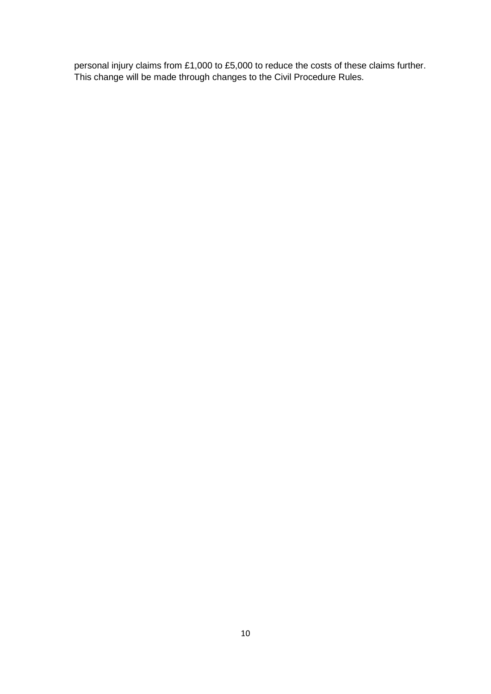personal injury claims from £1,000 to £5,000 to reduce the costs of these claims further. This change will be made through changes to the Civil Procedure Rules.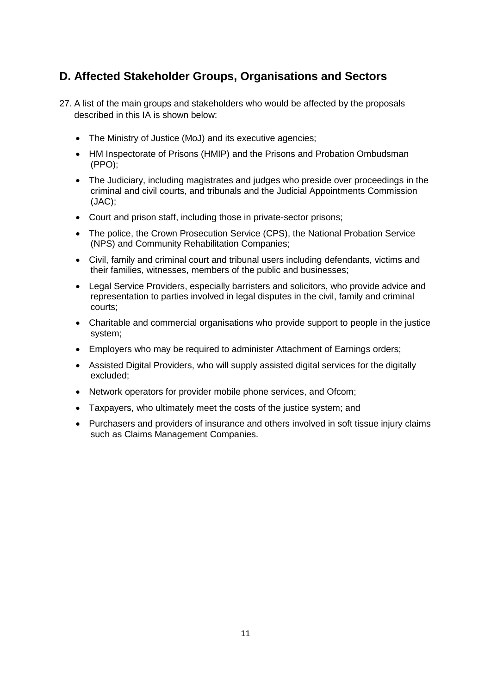## **D. Affected Stakeholder Groups, Organisations and Sectors**

- 27. A list of the main groups and stakeholders who would be affected by the proposals described in this IA is shown below:
	- The Ministry of Justice (MoJ) and its executive agencies;
	- HM Inspectorate of Prisons (HMIP) and the Prisons and Probation Ombudsman (PPO);
	- The Judiciary, including magistrates and judges who preside over proceedings in the criminal and civil courts, and tribunals and the Judicial Appointments Commission (JAC);
	- Court and prison staff, including those in private-sector prisons;
	- The police, the Crown Prosecution Service (CPS), the National Probation Service (NPS) and Community Rehabilitation Companies;
	- Civil, family and criminal court and tribunal users including defendants, victims and their families, witnesses, members of the public and businesses;
	- Legal Service Providers, especially barristers and solicitors, who provide advice and representation to parties involved in legal disputes in the civil, family and criminal courts;
	- Charitable and commercial organisations who provide support to people in the justice system;
	- Employers who may be required to administer Attachment of Earnings orders:
	- Assisted Digital Providers, who will supply assisted digital services for the digitally excluded;
	- Network operators for provider mobile phone services, and Ofcom;
	- Taxpayers, who ultimately meet the costs of the justice system; and
	- Purchasers and providers of insurance and others involved in soft tissue injury claims such as Claims Management Companies.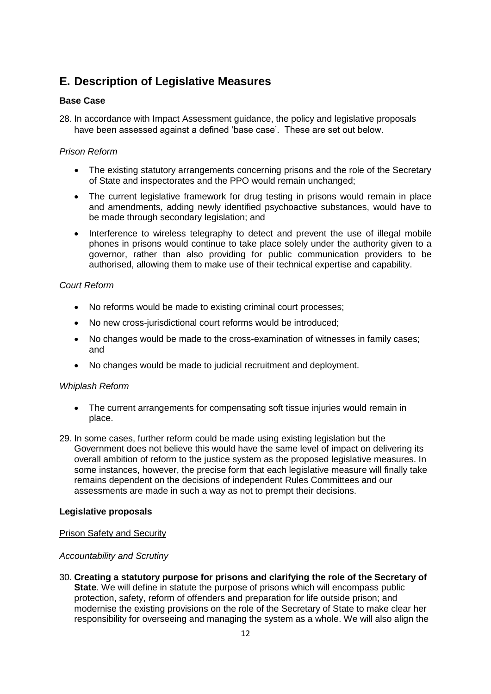## **E. Description of Legislative Measures**

#### **Base Case**

28. In accordance with Impact Assessment guidance, the policy and legislative proposals have been assessed against a defined 'base case'. These are set out below.

#### *Prison Reform*

- The existing statutory arrangements concerning prisons and the role of the Secretary of State and inspectorates and the PPO would remain unchanged;
- The current legislative framework for drug testing in prisons would remain in place and amendments, adding newly identified psychoactive substances, would have to be made through secondary legislation; and
- Interference to wireless telegraphy to detect and prevent the use of illegal mobile phones in prisons would continue to take place solely under the authority given to a governor, rather than also providing for public communication providers to be authorised, allowing them to make use of their technical expertise and capability.

#### *Court Reform*

- No reforms would be made to existing criminal court processes;
- No new cross-jurisdictional court reforms would be introduced;
- No changes would be made to the cross-examination of witnesses in family cases; and
- No changes would be made to judicial recruitment and deployment.

#### *Whiplash Reform*

- The current arrangements for compensating soft tissue injuries would remain in place.
- 29. In some cases, further reform could be made using existing legislation but the Government does not believe this would have the same level of impact on delivering its overall ambition of reform to the justice system as the proposed legislative measures. In some instances, however, the precise form that each legislative measure will finally take remains dependent on the decisions of independent Rules Committees and our assessments are made in such a way as not to prempt their decisions.

#### **Legislative proposals**

#### Prison Safety and Security

#### *Accountability and Scrutiny*

30. **Creating a statutory purpose for prisons and clarifying the role of the Secretary of State**. We will define in statute the purpose of prisons which will encompass public protection, safety, reform of offenders and preparation for life outside prison; and modernise the existing provisions on the role of the Secretary of State to make clear her responsibility for overseeing and managing the system as a whole. We will also align the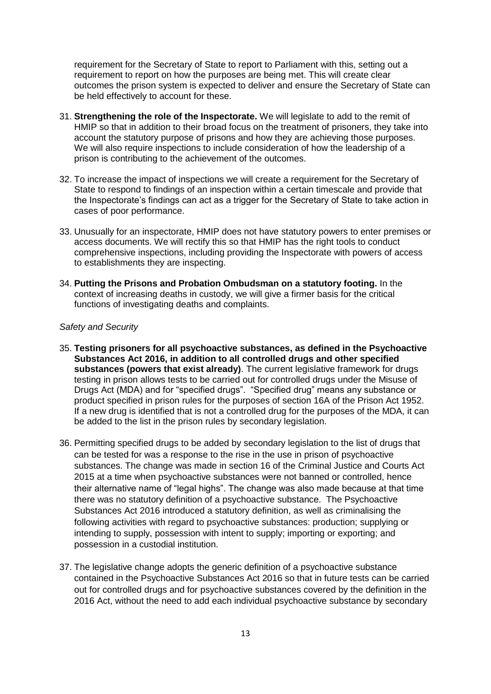requirement for the Secretary of State to report to Parliament with this, setting out a requirement to report on how the purposes are being met. This will create clear outcomes the prison system is expected to deliver and ensure the Secretary of State can be held effectively to account for these.

- 31. **Strengthening the role of the Inspectorate.** We will legislate to add to the remit of HMIP so that in addition to their broad focus on the treatment of prisoners, they take into account the statutory purpose of prisons and how they are achieving those purposes. We will also require inspections to include consideration of how the leadership of a prison is contributing to the achievement of the outcomes.
- 32. To increase the impact of inspections we will create a requirement for the Secretary of State to respond to findings of an inspection within a certain timescale and provide that the Inspectorate's findings can act as a trigger for the Secretary of State to take action in cases of poor performance.
- 33. Unusually for an inspectorate, HMIP does not have statutory powers to enter premises or access documents. We will rectify this so that HMIP has the right tools to conduct comprehensive inspections, including providing the Inspectorate with powers of access to establishments they are inspecting.
- 34. **Putting the Prisons and Probation Ombudsman on a statutory footing.** In the context of increasing deaths in custody, we will give a firmer basis for the critical functions of investigating deaths and complaints.

#### *Safety and Security*

- 35. **Testing prisoners for all psychoactive substances, as defined in the Psychoactive Substances Act 2016, in addition to all controlled drugs and other specified substances (powers that exist already)**. The current legislative framework for drugs testing in prison allows tests to be carried out for controlled drugs under the Misuse of Drugs Act (MDA) and for "specified drugs". "Specified drug" means any substance or product specified in prison rules for the purposes of section 16A of the Prison Act 1952. If a new drug is identified that is not a controlled drug for the purposes of the MDA, it can be added to the list in the prison rules by secondary legislation.
- 36. Permitting specified drugs to be added by secondary legislation to the list of drugs that can be tested for was a response to the rise in the use in prison of psychoactive substances. The change was made in section 16 of the Criminal Justice and Courts Act 2015 at a time when psychoactive substances were not banned or controlled, hence their alternative name of "legal highs". The change was also made because at that time there was no statutory definition of a psychoactive substance. The Psychoactive Substances Act 2016 introduced a statutory definition, as well as criminalising the following activities with regard to psychoactive substances: production; supplying or intending to supply, possession with intent to supply; importing or exporting; and possession in a custodial institution.
- 37. The legislative change adopts the generic definition of a psychoactive substance contained in the Psychoactive Substances Act 2016 so that in future tests can be carried out for controlled drugs and for psychoactive substances covered by the definition in the 2016 Act, without the need to add each individual psychoactive substance by secondary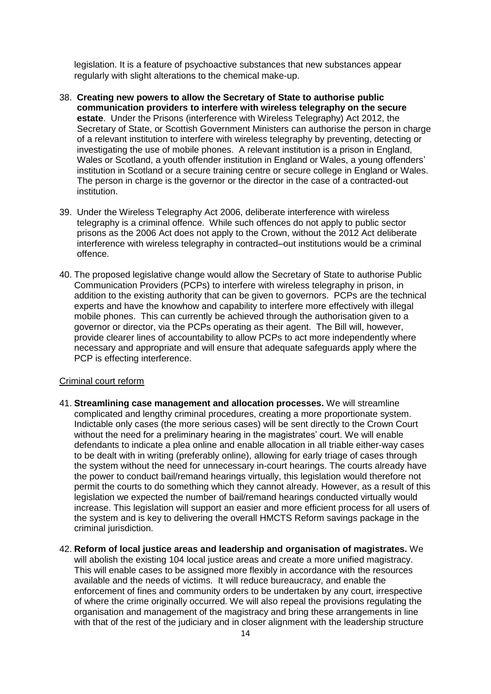legislation. It is a feature of psychoactive substances that new substances appear regularly with slight alterations to the chemical make-up.

- 38. **Creating new powers to allow the Secretary of State to authorise public communication providers to interfere with wireless telegraphy on the secure estate**. Under the Prisons (interference with Wireless Telegraphy) Act 2012, the Secretary of State, or Scottish Government Ministers can authorise the person in charge of a relevant institution to interfere with wireless telegraphy by preventing, detecting or investigating the use of mobile phones. A relevant institution is a prison in England, Wales or Scotland, a youth offender institution in England or Wales, a young offenders' institution in Scotland or a secure training centre or secure college in England or Wales. The person in charge is the governor or the director in the case of a contracted-out institution.
- 39. Under the Wireless Telegraphy Act 2006, deliberate interference with wireless telegraphy is a criminal offence. While such offences do not apply to public sector prisons as the 2006 Act does not apply to the Crown, without the 2012 Act deliberate interference with wireless telegraphy in contracted–out institutions would be a criminal offence.
- 40. The proposed legislative change would allow the Secretary of State to authorise Public Communication Providers (PCPs) to interfere with wireless telegraphy in prison, in addition to the existing authority that can be given to governors. PCPs are the technical experts and have the knowhow and capability to interfere more effectively with illegal mobile phones. This can currently be achieved through the authorisation given to a governor or director, via the PCPs operating as their agent. The Bill will, however, provide clearer lines of accountability to allow PCPs to act more independently where necessary and appropriate and will ensure that adequate safeguards apply where the PCP is effecting interference.

#### Criminal court reform

- 41. **Streamlining case management and allocation processes.** We will streamline complicated and lengthy criminal procedures, creating a more proportionate system. Indictable only cases (the more serious cases) will be sent directly to the Crown Court without the need for a preliminary hearing in the magistrates' court. We will enable defendants to indicate a plea online and enable allocation in all triable either-way cases to be dealt with in writing (preferably online), allowing for early triage of cases through the system without the need for unnecessary in-court hearings. The courts already have the power to conduct bail/remand hearings virtually, this legislation would therefore not permit the courts to do something which they cannot already. However, as a result of this legislation we expected the number of bail/remand hearings conducted virtually would increase. This legislation will support an easier and more efficient process for all users of the system and is key to delivering the overall HMCTS Reform savings package in the criminal jurisdiction.
- 42. **Reform of local justice areas and leadership and organisation of magistrates.** We will abolish the existing 104 local justice areas and create a more unified magistracy. This will enable cases to be assigned more flexibly in accordance with the resources available and the needs of victims. It will reduce bureaucracy, and enable the enforcement of fines and community orders to be undertaken by any court, irrespective of where the crime originally occurred. We will also repeal the provisions regulating the organisation and management of the magistracy and bring these arrangements in line with that of the rest of the judiciary and in closer alignment with the leadership structure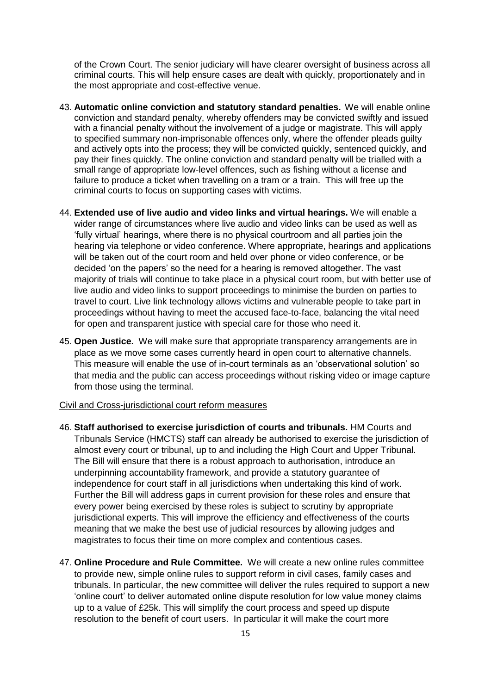of the Crown Court. The senior judiciary will have clearer oversight of business across all criminal courts. This will help ensure cases are dealt with quickly, proportionately and in the most appropriate and cost-effective venue.

- 43. **Automatic online conviction and statutory standard penalties.** We will enable online conviction and standard penalty, whereby offenders may be convicted swiftly and issued with a financial penalty without the involvement of a judge or magistrate. This will apply to specified summary non-imprisonable offences only, where the offender pleads guilty and actively opts into the process; they will be convicted quickly, sentenced quickly, and pay their fines quickly. The online conviction and standard penalty will be trialled with a small range of appropriate low-level offences, such as fishing without a license and failure to produce a ticket when travelling on a tram or a train. This will free up the criminal courts to focus on supporting cases with victims.
- 44. **Extended use of live audio and video links and virtual hearings.** We will enable a wider range of circumstances where live audio and video links can be used as well as 'fully virtual' hearings, where there is no physical courtroom and all parties join the hearing via telephone or video conference. Where appropriate, hearings and applications will be taken out of the court room and held over phone or video conference, or be decided 'on the papers' so the need for a hearing is removed altogether. The vast majority of trials will continue to take place in a physical court room, but with better use of live audio and video links to support proceedings to minimise the burden on parties to travel to court. Live link technology allows victims and vulnerable people to take part in proceedings without having to meet the accused face-to-face, balancing the vital need for open and transparent justice with special care for those who need it.
- 45. **Open Justice.** We will make sure that appropriate transparency arrangements are in place as we move some cases currently heard in open court to alternative channels. This measure will enable the use of in-court terminals as an 'observational solution' so that media and the public can access proceedings without risking video or image capture from those using the terminal.

#### Civil and Cross-jurisdictional court reform measures

- 46. **Staff authorised to exercise jurisdiction of courts and tribunals.** HM Courts and Tribunals Service (HMCTS) staff can already be authorised to exercise the jurisdiction of almost every court or tribunal, up to and including the High Court and Upper Tribunal. The Bill will ensure that there is a robust approach to authorisation, introduce an underpinning accountability framework, and provide a statutory guarantee of independence for court staff in all jurisdictions when undertaking this kind of work. Further the Bill will address gaps in current provision for these roles and ensure that every power being exercised by these roles is subject to scrutiny by appropriate jurisdictional experts. This will improve the efficiency and effectiveness of the courts meaning that we make the best use of judicial resources by allowing judges and magistrates to focus their time on more complex and contentious cases.
- 47. **Online Procedure and Rule Committee.** We will create a new online rules committee to provide new, simple online rules to support reform in civil cases, family cases and tribunals. In particular, the new committee will deliver the rules required to support a new 'online court' to deliver automated online dispute resolution for low value money claims up to a value of £25k. This will simplify the court process and speed up dispute resolution to the benefit of court users. In particular it will make the court more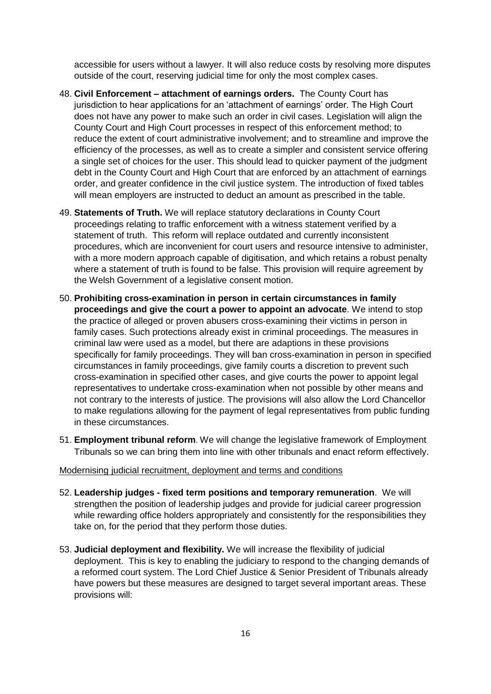accessible for users without a lawyer. It will also reduce costs by resolving more disputes outside of the court, reserving judicial time for only the most complex cases.

- 48. **Civil Enforcement – attachment of earnings orders.** The County Court has jurisdiction to hear applications for an 'attachment of earnings' order. The High Court does not have any power to make such an order in civil cases. Legislation will align the County Court and High Court processes in respect of this enforcement method; to reduce the extent of court administrative involvement; and to streamline and improve the efficiency of the processes, as well as to create a simpler and consistent service offering a single set of choices for the user. This should lead to quicker payment of the judgment debt in the County Court and High Court that are enforced by an attachment of earnings order, and greater confidence in the civil justice system. The introduction of fixed tables will mean employers are instructed to deduct an amount as prescribed in the table.
- 49. **Statements of Truth.** We will replace statutory declarations in County Court proceedings relating to traffic enforcement with a witness statement verified by a statement of truth. This reform will replace outdated and currently inconsistent procedures, which are inconvenient for court users and resource intensive to administer, with a more modern approach capable of digitisation, and which retains a robust penalty where a statement of truth is found to be false. This provision will require agreement by the Welsh Government of a legislative consent motion.
- 50. **Prohibiting cross-examination in person in certain circumstances in family proceedings and give the court a power to appoint an advocate**. We intend to stop the practice of alleged or proven abusers cross-examining their victims in person in family cases. Such protections already exist in criminal proceedings. The measures in criminal law were used as a model, but there are adaptions in these provisions specifically for family proceedings. They will ban cross-examination in person in specified circumstances in family proceedings, give family courts a discretion to prevent such cross-examination in specified other cases, and give courts the power to appoint legal representatives to undertake cross-examination when not possible by other means and not contrary to the interests of justice. The provisions will also allow the Lord Chancellor to make regulations allowing for the payment of legal representatives from public funding in these circumstances.
- 51. **Employment tribunal reform**. We will change the legislative framework of Employment Tribunals so we can bring them into line with other tribunals and enact reform effectively.

#### Modernising judicial recruitment, deployment and terms and conditions

- 52. **Leadership judges - fixed term positions and temporary remuneration**. We will strengthen the position of leadership judges and provide for judicial career progression while rewarding office holders appropriately and consistently for the responsibilities they take on, for the period that they perform those duties.
- 53. **Judicial deployment and flexibility.** We will increase the flexibility of judicial deployment. This is key to enabling the judiciary to respond to the changing demands of a reformed court system. The Lord Chief Justice & Senior President of Tribunals already have powers but these measures are designed to target several important areas. These provisions will: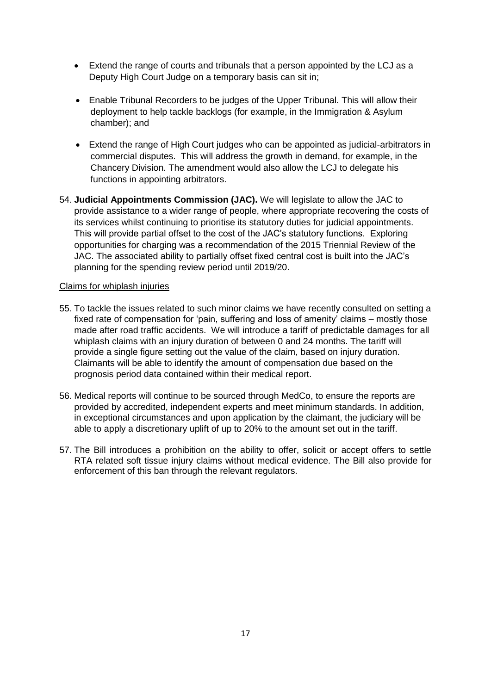- Extend the range of courts and tribunals that a person appointed by the LCJ as a Deputy High Court Judge on a temporary basis can sit in;
- Enable Tribunal Recorders to be judges of the Upper Tribunal. This will allow their deployment to help tackle backlogs (for example, in the Immigration & Asylum chamber); and
- Extend the range of High Court judges who can be appointed as judicial-arbitrators in commercial disputes. This will address the growth in demand, for example, in the Chancery Division. The amendment would also allow the LCJ to delegate his functions in appointing arbitrators.
- 54. **Judicial Appointments Commission (JAC).** We will legislate to allow the JAC to provide assistance to a wider range of people, where appropriate recovering the costs of its services whilst continuing to prioritise its statutory duties for judicial appointments. This will provide partial offset to the cost of the JAC's statutory functions. Exploring opportunities for charging was a recommendation of the 2015 Triennial Review of the JAC. The associated ability to partially offset fixed central cost is built into the JAC's planning for the spending review period until 2019/20.

#### Claims for whiplash injuries

- 55. To tackle the issues related to such minor claims we have recently consulted on setting a fixed rate of compensation for 'pain, suffering and loss of amenity' claims – mostly those made after road traffic accidents. We will introduce a tariff of predictable damages for all whiplash claims with an injury duration of between 0 and 24 months. The tariff will provide a single figure setting out the value of the claim, based on injury duration. Claimants will be able to identify the amount of compensation due based on the prognosis period data contained within their medical report.
- 56. Medical reports will continue to be sourced through MedCo, to ensure the reports are provided by accredited, independent experts and meet minimum standards. In addition, in exceptional circumstances and upon application by the claimant, the judiciary will be able to apply a discretionary uplift of up to 20% to the amount set out in the tariff.
- 57. The Bill introduces a prohibition on the ability to offer, solicit or accept offers to settle RTA related soft tissue injury claims without medical evidence. The Bill also provide for enforcement of this ban through the relevant regulators.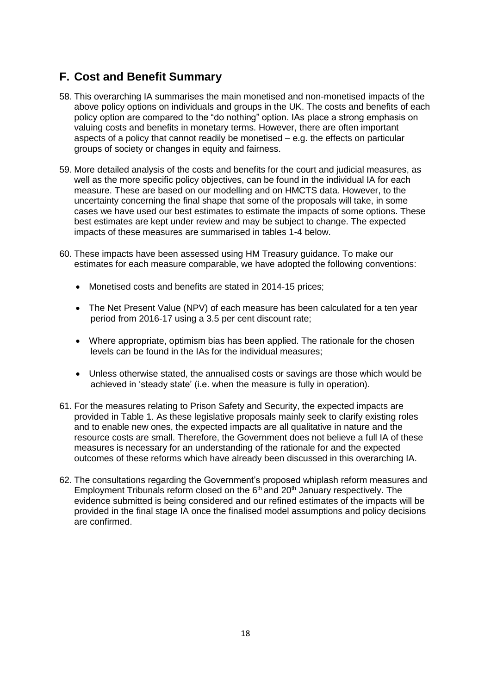## **F. Cost and Benefit Summary**

- 58. This overarching IA summarises the main monetised and non-monetised impacts of the above policy options on individuals and groups in the UK. The costs and benefits of each policy option are compared to the "do nothing" option. IAs place a strong emphasis on valuing costs and benefits in monetary terms. However, there are often important aspects of a policy that cannot readily be monetised  $-$  e.g. the effects on particular groups of society or changes in equity and fairness.
- 59. More detailed analysis of the costs and benefits for the court and judicial measures, as well as the more specific policy objectives, can be found in the individual IA for each measure. These are based on our modelling and on HMCTS data. However, to the uncertainty concerning the final shape that some of the proposals will take, in some cases we have used our best estimates to estimate the impacts of some options. These best estimates are kept under review and may be subject to change. The expected impacts of these measures are summarised in tables 1-4 below.
- 60. These impacts have been assessed using HM Treasury guidance. To make our estimates for each measure comparable, we have adopted the following conventions:
	- Monetised costs and benefits are stated in 2014-15 prices;
	- The Net Present Value (NPV) of each measure has been calculated for a ten year period from 2016-17 using a 3.5 per cent discount rate;
	- Where appropriate, optimism bias has been applied. The rationale for the chosen levels can be found in the IAs for the individual measures;
	- Unless otherwise stated, the annualised costs or savings are those which would be achieved in 'steady state' (i.e. when the measure is fully in operation).
- 61. For the measures relating to Prison Safety and Security, the expected impacts are provided in Table 1. As these legislative proposals mainly seek to clarify existing roles and to enable new ones, the expected impacts are all qualitative in nature and the resource costs are small. Therefore, the Government does not believe a full IA of these measures is necessary for an understanding of the rationale for and the expected outcomes of these reforms which have already been discussed in this overarching IA.
- 62. The consultations regarding the Government's proposed whiplash reform measures and Employment Tribunals reform closed on the  $6<sup>th</sup>$  and  $20<sup>th</sup>$  January respectively. The evidence submitted is being considered and our refined estimates of the impacts will be provided in the final stage IA once the finalised model assumptions and policy decisions are confirmed.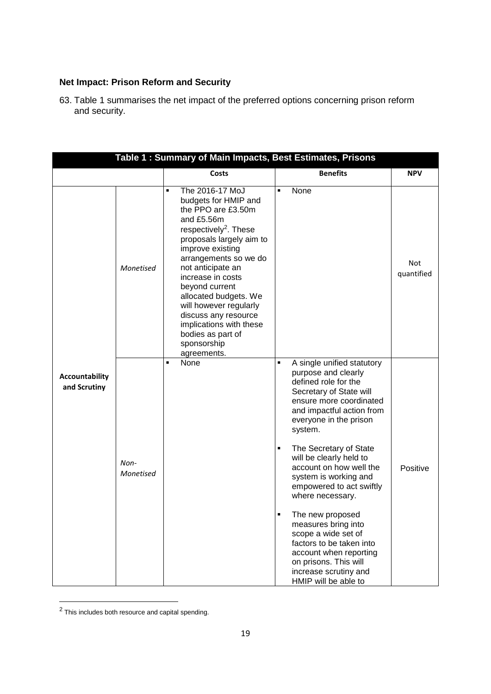## **Net Impact: Prison Reform and Security**

63. Table 1 summarises the net impact of the preferred options concerning prison reform and security.

|                                       | Table 1: Summary of Main Impacts, Best Estimates, Prisons |                                                                                                                                                                                                                                                                                                                                                                                                                                  |                                                                                                                                                                                                                                                                                                                                                                                                                                                                                                                                                                                                       |                   |  |
|---------------------------------------|-----------------------------------------------------------|----------------------------------------------------------------------------------------------------------------------------------------------------------------------------------------------------------------------------------------------------------------------------------------------------------------------------------------------------------------------------------------------------------------------------------|-------------------------------------------------------------------------------------------------------------------------------------------------------------------------------------------------------------------------------------------------------------------------------------------------------------------------------------------------------------------------------------------------------------------------------------------------------------------------------------------------------------------------------------------------------------------------------------------------------|-------------------|--|
|                                       |                                                           | <b>Costs</b>                                                                                                                                                                                                                                                                                                                                                                                                                     | <b>Benefits</b>                                                                                                                                                                                                                                                                                                                                                                                                                                                                                                                                                                                       | <b>NPV</b>        |  |
|                                       | Monetised                                                 | The 2016-17 MoJ<br>$\blacksquare$<br>budgets for HMIP and<br>the PPO are £3.50m<br>and £5.56m<br>respectively <sup>2</sup> . These<br>proposals largely aim to<br>improve existing<br>arrangements so we do<br>not anticipate an<br>increase in costs<br>beyond current<br>allocated budgets. We<br>will however regularly<br>discuss any resource<br>implications with these<br>bodies as part of<br>sponsorship<br>agreements. | None<br>$\blacksquare$                                                                                                                                                                                                                                                                                                                                                                                                                                                                                                                                                                                | Not<br>quantified |  |
| <b>Accountability</b><br>and Scrutiny | Non-<br>Monetised                                         | None<br>٠                                                                                                                                                                                                                                                                                                                                                                                                                        | A single unified statutory<br>$\blacksquare$<br>purpose and clearly<br>defined role for the<br>Secretary of State will<br>ensure more coordinated<br>and impactful action from<br>everyone in the prison<br>system.<br>The Secretary of State<br>$\blacksquare$<br>will be clearly held to<br>account on how well the<br>system is working and<br>empowered to act swiftly<br>where necessary.<br>The new proposed<br>٠<br>measures bring into<br>scope a wide set of<br>factors to be taken into<br>account when reporting<br>on prisons. This will<br>increase scrutiny and<br>HMIP will be able to | Positive          |  |

 2 This includes both resource and capital spending.

 $\overline{\phantom{a}}$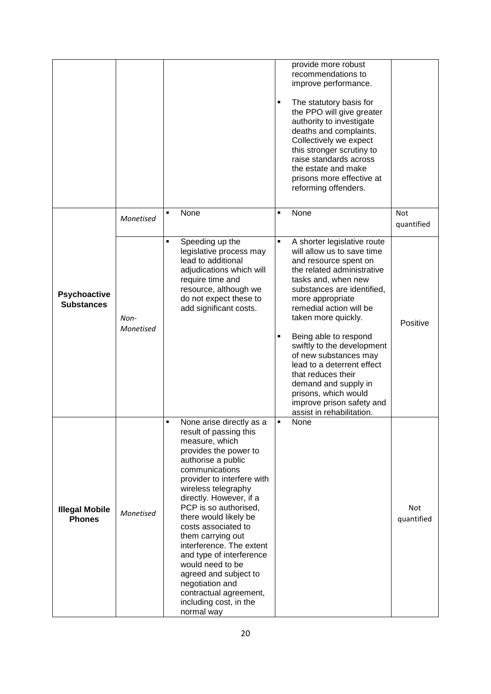|                                          |                   |                                                                                                                                                                                                                                                                                                                                                                                                                                                                                                                    | provide more robust<br>recommendations to<br>improve performance.<br>The statutory basis for<br>$\blacksquare$<br>the PPO will give greater<br>authority to investigate<br>deaths and complaints.<br>Collectively we expect<br>this stronger scrutiny to<br>raise standards across<br>the estate and make<br>prisons more effective at<br>reforming offenders.                                                                                                                                                                |                          |
|------------------------------------------|-------------------|--------------------------------------------------------------------------------------------------------------------------------------------------------------------------------------------------------------------------------------------------------------------------------------------------------------------------------------------------------------------------------------------------------------------------------------------------------------------------------------------------------------------|-------------------------------------------------------------------------------------------------------------------------------------------------------------------------------------------------------------------------------------------------------------------------------------------------------------------------------------------------------------------------------------------------------------------------------------------------------------------------------------------------------------------------------|--------------------------|
|                                          | Monetised         | None<br>$\blacksquare$                                                                                                                                                                                                                                                                                                                                                                                                                                                                                             | None<br>٠                                                                                                                                                                                                                                                                                                                                                                                                                                                                                                                     | <b>Not</b><br>quantified |
| <b>Psychoactive</b><br><b>Substances</b> | Non-<br>Monetised | $\blacksquare$<br>Speeding up the<br>legislative process may<br>lead to additional<br>adjudications which will<br>require time and<br>resource, although we<br>do not expect these to<br>add significant costs.                                                                                                                                                                                                                                                                                                    | $\blacksquare$<br>A shorter legislative route<br>will allow us to save time<br>and resource spent on<br>the related administrative<br>tasks and, when new<br>substances are identified,<br>more appropriate<br>remedial action will be<br>taken more quickly.<br>Being able to respond<br>$\blacksquare$<br>swiftly to the development<br>of new substances may<br>lead to a deterrent effect<br>that reduces their<br>demand and supply in<br>prisons, which would<br>improve prison safety and<br>assist in rehabilitation. | Positive                 |
| <b>Illegal Mobile</b><br><b>Phones</b>   | Monetised         | None arise directly as a<br>٠<br>result of passing this<br>measure, which<br>provides the power to<br>authorise a public<br>communications<br>provider to interfere with<br>wireless telegraphy<br>directly. However, if a<br>PCP is so authorised,<br>there would likely be<br>costs associated to<br>them carrying out<br>interference. The extent<br>and type of interference<br>would need to be<br>agreed and subject to<br>negotiation and<br>contractual agreement,<br>including cost, in the<br>normal way | ×,<br>None                                                                                                                                                                                                                                                                                                                                                                                                                                                                                                                    | Not<br>quantified        |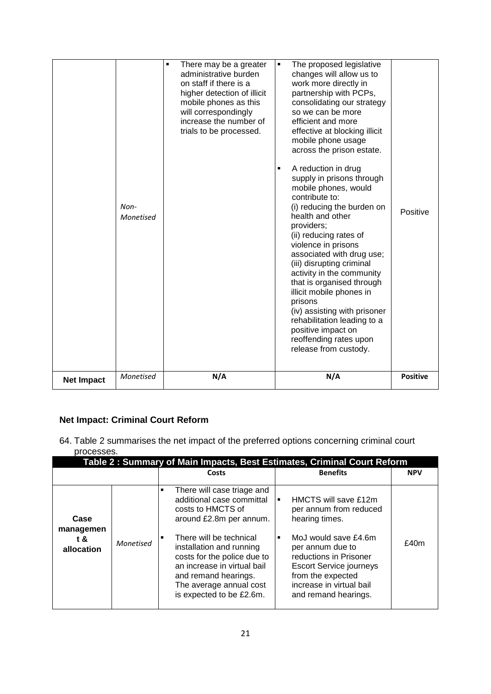| Non-              | Monetised | There may be a greater<br>$\blacksquare$<br>administrative burden<br>on staff if there is a<br>higher detection of illicit<br>mobile phones as this<br>will correspondingly<br>increase the number of<br>trials to be processed. | $\blacksquare$<br>٠ | The proposed legislative<br>changes will allow us to<br>work more directly in<br>partnership with PCPs,<br>consolidating our strategy<br>so we can be more<br>efficient and more<br>effective at blocking illicit<br>mobile phone usage<br>across the prison estate.<br>A reduction in drug<br>supply in prisons through<br>mobile phones, would<br>contribute to:<br>(i) reducing the burden on<br>health and other<br>providers;<br>(ii) reducing rates of<br>violence in prisons<br>associated with drug use;<br>(iii) disrupting criminal<br>activity in the community<br>that is organised through<br>illicit mobile phones in<br>prisons<br>(iv) assisting with prisoner<br>rehabilitation leading to a<br>positive impact on<br>reoffending rates upon<br>release from custody. | Positive        |
|-------------------|-----------|----------------------------------------------------------------------------------------------------------------------------------------------------------------------------------------------------------------------------------|---------------------|----------------------------------------------------------------------------------------------------------------------------------------------------------------------------------------------------------------------------------------------------------------------------------------------------------------------------------------------------------------------------------------------------------------------------------------------------------------------------------------------------------------------------------------------------------------------------------------------------------------------------------------------------------------------------------------------------------------------------------------------------------------------------------------|-----------------|
| <b>Net Impact</b> | Monetised | N/A                                                                                                                                                                                                                              |                     | N/A                                                                                                                                                                                                                                                                                                                                                                                                                                                                                                                                                                                                                                                                                                                                                                                    | <b>Positive</b> |

## **Net Impact: Criminal Court Reform**

64. Table 2 summarises the net impact of the preferred options concerning criminal court processes.

|                                        | Table 2: Summary of Main Impacts, Best Estimates, Criminal Court Reform |                                                                                                                                                                                                                                                                                                                       |                                                                                                                                                                                                                                                             |            |  |  |
|----------------------------------------|-------------------------------------------------------------------------|-----------------------------------------------------------------------------------------------------------------------------------------------------------------------------------------------------------------------------------------------------------------------------------------------------------------------|-------------------------------------------------------------------------------------------------------------------------------------------------------------------------------------------------------------------------------------------------------------|------------|--|--|
|                                        |                                                                         | Costs                                                                                                                                                                                                                                                                                                                 | <b>Benefits</b>                                                                                                                                                                                                                                             | <b>NPV</b> |  |  |
| Case<br>managemen<br>t &<br>allocation | <b>Monetised</b>                                                        | There will case triage and<br>٠<br>additional case committal<br>costs to HMCTS of<br>around £2.8m per annum.<br>There will be technical<br>٠<br>installation and running<br>costs for the police due to<br>an increase in virtual bail<br>and remand hearings.<br>The average annual cost<br>is expected to be £2.6m. | HMCTS will save £12m<br>٠<br>per annum from reduced<br>hearing times.<br>MoJ would save £4.6m<br>٠<br>per annum due to<br>reductions in Prisoner<br><b>Escort Service journeys</b><br>from the expected<br>increase in virtual bail<br>and remand hearings. | £40m       |  |  |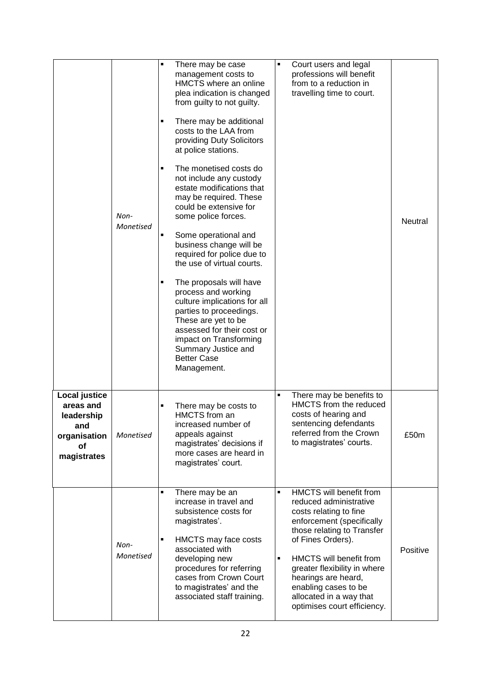|                                                                                      | Non-<br>Monetised | ×,<br>There may be case<br>management costs to<br>HMCTS where an online<br>plea indication is changed<br>from guilty to not guilty.<br>There may be additional<br>٠<br>costs to the LAA from<br>providing Duty Solicitors<br>at police stations.<br>The monetised costs do<br>٠<br>not include any custody<br>estate modifications that<br>may be required. These<br>could be extensive for<br>some police forces.<br>Ξ<br>Some operational and<br>business change will be<br>required for police due to<br>the use of virtual courts.<br>The proposals will have<br>٠<br>process and working<br>culture implications for all<br>parties to proceedings.<br>These are yet to be<br>assessed for their cost or<br>impact on Transforming<br>Summary Justice and<br><b>Better Case</b><br>Management. | Court users and legal<br>$\blacksquare$<br>professions will benefit<br>from to a reduction in<br>travelling time to court.                                                                                                                                                                                                                                                 | Neutral  |
|--------------------------------------------------------------------------------------|-------------------|-----------------------------------------------------------------------------------------------------------------------------------------------------------------------------------------------------------------------------------------------------------------------------------------------------------------------------------------------------------------------------------------------------------------------------------------------------------------------------------------------------------------------------------------------------------------------------------------------------------------------------------------------------------------------------------------------------------------------------------------------------------------------------------------------------|----------------------------------------------------------------------------------------------------------------------------------------------------------------------------------------------------------------------------------------------------------------------------------------------------------------------------------------------------------------------------|----------|
| Local justice<br>areas and<br>leadership<br>and<br>organisation<br>of<br>magistrates | Monetised         | There may be costs to<br>٠<br>HMCTS from an<br>increased number of<br>appeals against<br>magistrates' decisions if<br>more cases are heard in<br>magistrates' court.                                                                                                                                                                                                                                                                                                                                                                                                                                                                                                                                                                                                                                | There may be benefits to<br>٠<br>HMCTS from the reduced<br>costs of hearing and<br>sentencing defendants<br>referred from the Crown<br>to magistrates' courts.                                                                                                                                                                                                             | £50m     |
|                                                                                      | Non-<br>Monetised | There may be an<br>п<br>increase in travel and<br>subsistence costs for<br>magistrates'.<br>HMCTS may face costs<br>٠<br>associated with<br>developing new<br>procedures for referring<br>cases from Crown Court<br>to magistrates' and the<br>associated staff training.                                                                                                                                                                                                                                                                                                                                                                                                                                                                                                                           | <b>HMCTS</b> will benefit from<br>$\blacksquare$<br>reduced administrative<br>costs relating to fine<br>enforcement (specifically<br>those relating to Transfer<br>of Fines Orders).<br>HMCTS will benefit from<br>$\blacksquare$<br>greater flexibility in where<br>hearings are heard,<br>enabling cases to be<br>allocated in a way that<br>optimises court efficiency. | Positive |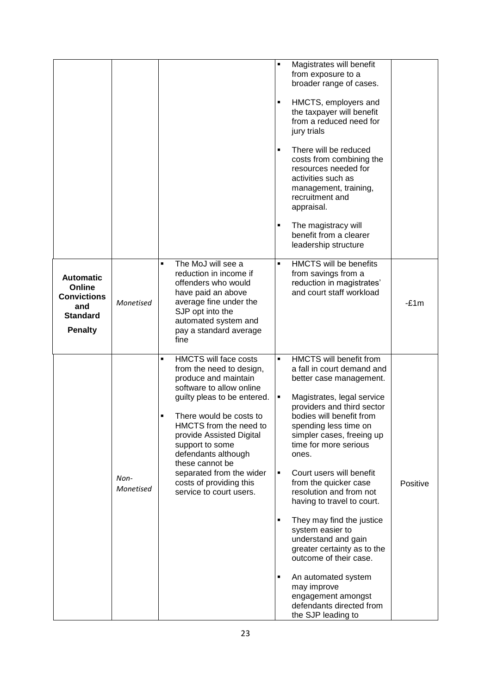|                                                                                              |                   |                                                                                                                                                                                                                                                                                                                                                                                        | Magistrates will benefit<br>٠<br>from exposure to a<br>broader range of cases.<br>HMCTS, employers and<br>٠<br>the taxpayer will benefit<br>from a reduced need for<br>jury trials<br>There will be reduced<br>٠<br>costs from combining the<br>resources needed for<br>activities such as<br>management, training,<br>recruitment and<br>appraisal.<br>The magistracy will<br>٠<br>benefit from a clearer<br>leadership structure                                                                                                                                                                                                                                 |
|----------------------------------------------------------------------------------------------|-------------------|----------------------------------------------------------------------------------------------------------------------------------------------------------------------------------------------------------------------------------------------------------------------------------------------------------------------------------------------------------------------------------------|--------------------------------------------------------------------------------------------------------------------------------------------------------------------------------------------------------------------------------------------------------------------------------------------------------------------------------------------------------------------------------------------------------------------------------------------------------------------------------------------------------------------------------------------------------------------------------------------------------------------------------------------------------------------|
| <b>Automatic</b><br>Online<br><b>Convictions</b><br>and<br><b>Standard</b><br><b>Penalty</b> | Monetised         | The MoJ will see a<br>$\blacksquare$<br>reduction in income if<br>offenders who would<br>have paid an above<br>average fine under the<br>SJP opt into the<br>automated system and<br>pay a standard average<br>fine                                                                                                                                                                    | <b>HMCTS will be benefits</b><br>$\blacksquare$<br>from savings from a<br>reduction in magistrates'<br>and court staff workload<br>$-E1m$                                                                                                                                                                                                                                                                                                                                                                                                                                                                                                                          |
|                                                                                              | Non-<br>Monetised | <b>HMCTS will face costs</b><br>×,<br>from the need to design,<br>produce and maintain<br>software to allow online<br>guilty pleas to be entered.<br>There would be costs to<br>٠<br>HMCTS from the need to<br>provide Assisted Digital<br>support to some<br>defendants although<br>these cannot be<br>separated from the wider<br>costs of providing this<br>service to court users. | HMCTS will benefit from<br>٠<br>a fall in court demand and<br>better case management.<br>Magistrates, legal service<br>٠<br>providers and third sector<br>bodies will benefit from<br>spending less time on<br>simpler cases, freeing up<br>time for more serious<br>ones.<br>Court users will benefit<br>٠<br>from the quicker case<br>Positive<br>resolution and from not<br>having to travel to court.<br>They may find the justice<br>٠<br>system easier to<br>understand and gain<br>greater certainty as to the<br>outcome of their case.<br>An automated system<br>٠<br>may improve<br>engagement amongst<br>defendants directed from<br>the SJP leading to |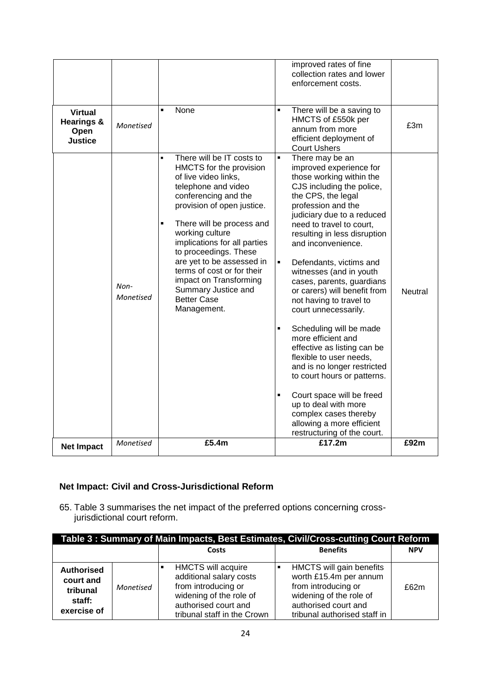| <b>Virtual</b><br><b>Hearings &amp;</b><br>Open<br><b>Justice</b> | Monetised         | None                                                                                                                                                                                                                                                                                                                                                                                                                                       | improved rates of fine<br>collection rates and lower<br>enforcement costs.<br>There will be a saving to<br>HMCTS of £550k per<br>annum from more<br>efficient deployment of<br><b>Court Ushers</b>                                                                                                                                                                                                                                                                                                                                                                                                                                                                                                                                                                                                                  | £3m            |
|-------------------------------------------------------------------|-------------------|--------------------------------------------------------------------------------------------------------------------------------------------------------------------------------------------------------------------------------------------------------------------------------------------------------------------------------------------------------------------------------------------------------------------------------------------|---------------------------------------------------------------------------------------------------------------------------------------------------------------------------------------------------------------------------------------------------------------------------------------------------------------------------------------------------------------------------------------------------------------------------------------------------------------------------------------------------------------------------------------------------------------------------------------------------------------------------------------------------------------------------------------------------------------------------------------------------------------------------------------------------------------------|----------------|
|                                                                   | Non-<br>Monetised | There will be IT costs to<br>$\blacksquare$<br>HMCTS for the provision<br>of live video links,<br>telephone and video<br>conferencing and the<br>provision of open justice.<br>There will be process and<br>٠<br>working culture<br>implications for all parties<br>to proceedings. These<br>are yet to be assessed in<br>terms of cost or for their<br>impact on Transforming<br>Summary Justice and<br><b>Better Case</b><br>Management. | There may be an<br>$\blacksquare$<br>improved experience for<br>those working within the<br>CJS including the police,<br>the CPS, the legal<br>profession and the<br>judiciary due to a reduced<br>need to travel to court,<br>resulting in less disruption<br>and inconvenience.<br>$\blacksquare$<br>Defendants, victims and<br>witnesses (and in youth<br>cases, parents, guardians<br>or carers) will benefit from<br>not having to travel to<br>court unnecessarily.<br>Scheduling will be made<br>$\blacksquare$<br>more efficient and<br>effective as listing can be<br>flexible to user needs,<br>and is no longer restricted<br>to court hours or patterns.<br>Court space will be freed<br>٠<br>up to deal with more<br>complex cases thereby<br>allowing a more efficient<br>restructuring of the court. | <b>Neutral</b> |
| <b>Net Impact</b>                                                 | <b>Monetised</b>  | £5.4m                                                                                                                                                                                                                                                                                                                                                                                                                                      | £17.2m                                                                                                                                                                                                                                                                                                                                                                                                                                                                                                                                                                                                                                                                                                                                                                                                              | £92m           |

## **Net Impact: Civil and Cross-Jurisdictional Reform**

65. Table 3 summarises the net impact of the preferred options concerning crossjurisdictional court reform.

| Table 3: Summary of Main Impacts, Best Estimates, Civil/Cross-cutting Court Reform |           |                                                                                                                                                               |                                                                                                                                                                                |            |  |
|------------------------------------------------------------------------------------|-----------|---------------------------------------------------------------------------------------------------------------------------------------------------------------|--------------------------------------------------------------------------------------------------------------------------------------------------------------------------------|------------|--|
|                                                                                    |           | Costs                                                                                                                                                         | <b>Benefits</b>                                                                                                                                                                | <b>NPV</b> |  |
| <b>Authorised</b><br>court and<br>tribunal<br>staff:<br>exercise of                | Monetised | <b>HMCTS</b> will acquire<br>additional salary costs<br>from introducing or<br>widening of the role of<br>authorised court and<br>tribunal staff in the Crown | HMCTS will gain benefits<br>$\blacksquare$<br>worth £15.4m per annum<br>from introducing or<br>widening of the role of<br>authorised court and<br>tribunal authorised staff in | £62m       |  |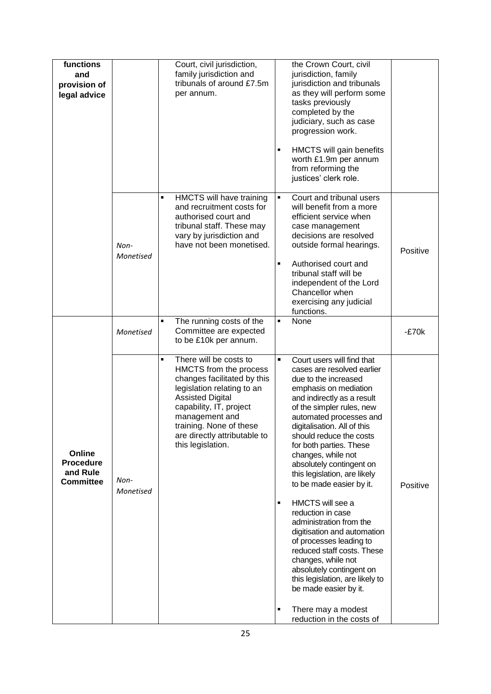| functions<br>and<br>provision of<br>legal advice           |                   | Court, civil jurisdiction,<br>family jurisdiction and<br>tribunals of around £7.5m<br>per annum.                                                                                                                                                                                        | the Crown Court, civil<br>jurisdiction, family<br>jurisdiction and tribunals<br>as they will perform some<br>tasks previously<br>completed by the<br>judiciary, such as case<br>progression work.<br>HMCTS will gain benefits<br>٠<br>worth £1.9m per annum<br>from reforming the<br>justices' clerk role.                                                                                                                                                                                                                                                                                                                                                                                                                                                               |          |
|------------------------------------------------------------|-------------------|-----------------------------------------------------------------------------------------------------------------------------------------------------------------------------------------------------------------------------------------------------------------------------------------|--------------------------------------------------------------------------------------------------------------------------------------------------------------------------------------------------------------------------------------------------------------------------------------------------------------------------------------------------------------------------------------------------------------------------------------------------------------------------------------------------------------------------------------------------------------------------------------------------------------------------------------------------------------------------------------------------------------------------------------------------------------------------|----------|
|                                                            | Non-<br>Monetised | HMCTS will have training<br>٠<br>and recruitment costs for<br>authorised court and<br>tribunal staff. These may<br>vary by jurisdiction and<br>have not been monetised.                                                                                                                 | Court and tribunal users<br>٠<br>will benefit from a more<br>efficient service when<br>case management<br>decisions are resolved<br>outside formal hearings.<br>Authorised court and<br>$\blacksquare$<br>tribunal staff will be<br>independent of the Lord<br>Chancellor when<br>exercising any judicial<br>functions.                                                                                                                                                                                                                                                                                                                                                                                                                                                  | Positive |
|                                                            | Monetised         | The running costs of the<br>٠<br>Committee are expected<br>to be £10k per annum.                                                                                                                                                                                                        | None<br>$\blacksquare$                                                                                                                                                                                                                                                                                                                                                                                                                                                                                                                                                                                                                                                                                                                                                   | $-E70k$  |
| Online<br><b>Procedure</b><br>and Rule<br><b>Committee</b> | Non-<br>Monetised | There will be costs to<br>$\blacksquare$<br>HMCTS from the process<br>changes facilitated by this<br>legislation relating to an<br><b>Assisted Digital</b><br>capability, IT, project<br>management and<br>training. None of these<br>are directly attributable to<br>this legislation. | Court users will find that<br>$\blacksquare$<br>cases are resolved earlier<br>due to the increased<br>emphasis on mediation<br>and indirectly as a result<br>of the simpler rules, new<br>automated processes and<br>digitalisation. All of this<br>should reduce the costs<br>for both parties. These<br>changes, while not<br>absolutely contingent on<br>this legislation, are likely<br>to be made easier by it.<br>HMCTS will see a<br>٠<br>reduction in case<br>administration from the<br>digitisation and automation<br>of processes leading to<br>reduced staff costs. These<br>changes, while not<br>absolutely contingent on<br>this legislation, are likely to<br>be made easier by it.<br>There may a modest<br>$\blacksquare$<br>reduction in the costs of | Positive |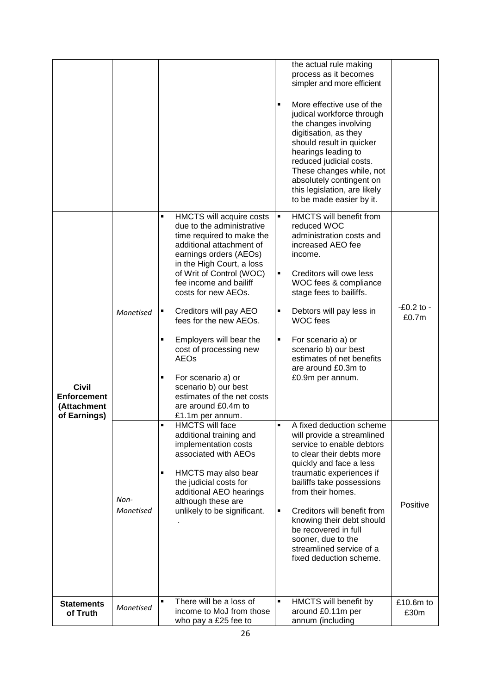|                                                                   |                   |                                                                                                                                                                                                                                                                                                                                                                                                                                                                                                             | the actual rule making<br>process as it becomes<br>simpler and more efficient<br>More effective use of the<br>$\blacksquare$<br>judical workforce through<br>the changes involving<br>digitisation, as they<br>should result in quicker<br>hearings leading to<br>reduced judicial costs.<br>These changes while, not<br>absolutely contingent on<br>this legislation, are likely<br>to be made easier by it.                 |
|-------------------------------------------------------------------|-------------------|-------------------------------------------------------------------------------------------------------------------------------------------------------------------------------------------------------------------------------------------------------------------------------------------------------------------------------------------------------------------------------------------------------------------------------------------------------------------------------------------------------------|-------------------------------------------------------------------------------------------------------------------------------------------------------------------------------------------------------------------------------------------------------------------------------------------------------------------------------------------------------------------------------------------------------------------------------|
| <b>Civil</b><br><b>Enforcement</b><br>(Attachment<br>of Earnings) | Monetised         | HMCTS will acquire costs<br>٠<br>due to the administrative<br>time required to make the<br>additional attachment of<br>earnings orders (AEOs)<br>in the High Court, a loss<br>of Writ of Control (WOC)<br>fee income and bailiff<br>costs for new AEOs.<br>Creditors will pay AEO<br>fees for the new AEOs.<br>Employers will bear the<br>cost of processing new<br><b>AEOs</b><br>For scenario a) or<br>٠<br>scenario b) our best<br>estimates of the net costs<br>are around £0.4m to<br>£1.1m per annum. | HMCTS will benefit from<br>٠<br>reduced WOC<br>administration costs and<br>increased AEO fee<br>income.<br>Creditors will owe less<br>$\blacksquare$<br>WOC fees & compliance<br>stage fees to bailiffs.<br>$-£0.2$ to $-$<br>Debtors will pay less in<br>٠<br>£0.7m<br>WOC fees<br>For scenario a) or<br>٠<br>scenario b) our best<br>estimates of net benefits<br>are around £0.3m to<br>£0.9m per annum.                   |
|                                                                   | Non-<br>Monetised | <b>HMCTS</b> will face<br>$\blacksquare$<br>additional training and<br>implementation costs<br>associated with AEOs<br>HMCTS may also bear<br>٠<br>the judicial costs for<br>additional AEO hearings<br>although these are<br>unlikely to be significant.                                                                                                                                                                                                                                                   | A fixed deduction scheme<br>٠<br>will provide a streamlined<br>service to enable debtors<br>to clear their debts more<br>quickly and face a less<br>traumatic experiences if<br>bailiffs take possessions<br>from their homes.<br>Positive<br>Creditors will benefit from<br>$\blacksquare$<br>knowing their debt should<br>be recovered in full<br>sooner, due to the<br>streamlined service of a<br>fixed deduction scheme. |
| <b>Statements</b><br>of Truth                                     | Monetised         | There will be a loss of<br>income to MoJ from those<br>who pay a £25 fee to                                                                                                                                                                                                                                                                                                                                                                                                                                 | HMCTS will benefit by<br>£10.6m to<br>around £0.11m per<br>£30m<br>annum (including                                                                                                                                                                                                                                                                                                                                           |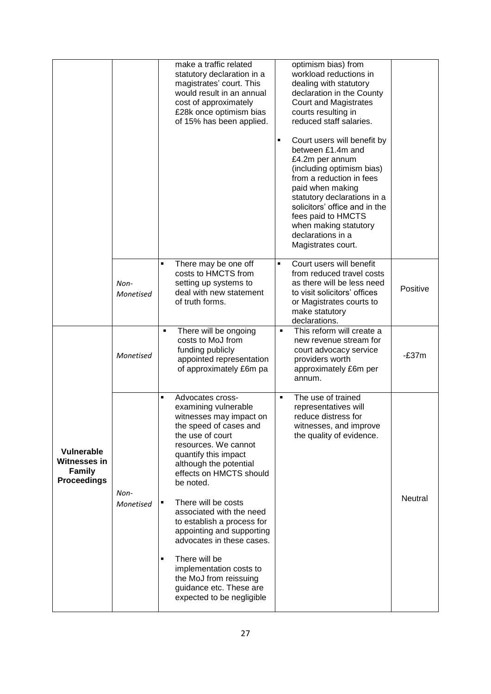|                                                                          |                   | make a traffic related<br>statutory declaration in a<br>magistrates' court. This<br>would result in an annual<br>cost of approximately<br>£28k once optimism bias<br>of 15% has been applied.                                                                                                                                                                                                                                                                                                                                            | optimism bias) from<br>workload reductions in<br>dealing with statutory<br>declaration in the County<br><b>Court and Magistrates</b><br>courts resulting in<br>reduced staff salaries.<br>Court users will benefit by<br>٠<br>between £1.4m and<br>£4.2m per annum<br>(including optimism bias)<br>from a reduction in fees<br>paid when making<br>statutory declarations in a<br>solicitors' office and in the<br>fees paid to HMCTS<br>when making statutory<br>declarations in a<br>Magistrates court. |          |
|--------------------------------------------------------------------------|-------------------|------------------------------------------------------------------------------------------------------------------------------------------------------------------------------------------------------------------------------------------------------------------------------------------------------------------------------------------------------------------------------------------------------------------------------------------------------------------------------------------------------------------------------------------|-----------------------------------------------------------------------------------------------------------------------------------------------------------------------------------------------------------------------------------------------------------------------------------------------------------------------------------------------------------------------------------------------------------------------------------------------------------------------------------------------------------|----------|
|                                                                          | Non-<br>Monetised | There may be one off<br>٠<br>costs to HMCTS from<br>setting up systems to<br>deal with new statement<br>of truth forms.                                                                                                                                                                                                                                                                                                                                                                                                                  | Court users will benefit<br>٠<br>from reduced travel costs<br>as there will be less need<br>to visit solicitors' offices<br>or Magistrates courts to<br>make statutory<br>declarations.                                                                                                                                                                                                                                                                                                                   | Positive |
| <b>Vulnerable</b><br>Witnesses in<br><b>Family</b><br><b>Proceedings</b> | Monetised         | There will be ongoing<br>$\blacksquare$<br>costs to MoJ from<br>funding publicly<br>appointed representation<br>of approximately £6m pa                                                                                                                                                                                                                                                                                                                                                                                                  | This reform will create a<br>٠<br>new revenue stream for<br>court advocacy service<br>providers worth<br>approximately £6m per<br>annum.                                                                                                                                                                                                                                                                                                                                                                  | $-E37m$  |
|                                                                          | Non-<br>Monetised | $\blacksquare$<br>Advocates cross-<br>examining vulnerable<br>witnesses may impact on<br>the speed of cases and<br>the use of court<br>resources. We cannot<br>quantify this impact<br>although the potential<br>effects on HMCTS should<br>be noted.<br>There will be costs<br>٠<br>associated with the need<br>to establish a process for<br>appointing and supporting<br>advocates in these cases.<br>There will be<br>٠<br>implementation costs to<br>the MoJ from reissuing<br>guidance etc. These are<br>expected to be negligible | The use of trained<br>٠<br>representatives will<br>reduce distress for<br>witnesses, and improve<br>the quality of evidence.                                                                                                                                                                                                                                                                                                                                                                              | Neutral  |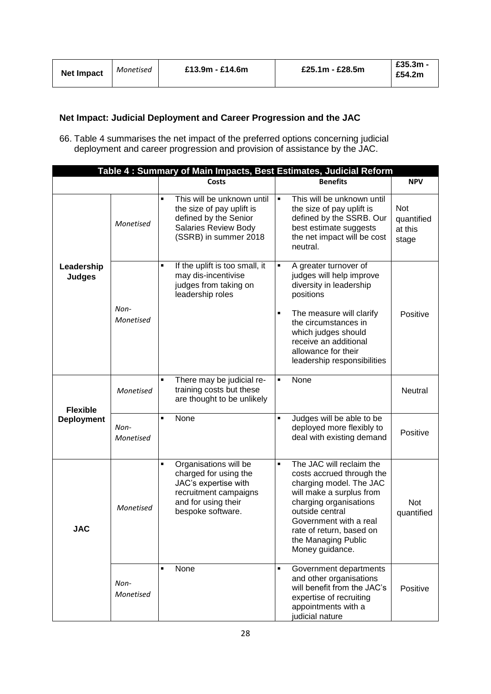| <b>Net Impact</b> | Monetised | £13.9m - £14.6m | £25.1m - £28.5m | £35.3m -<br>£54.2m |
|-------------------|-----------|-----------------|-----------------|--------------------|
|-------------------|-----------|-----------------|-----------------|--------------------|

## **Net Impact: Judicial Deployment and Career Progression and the JAC**

66. Table 4 summarises the net impact of the preferred options concerning judicial deployment and career progression and provision of assistance by the JAC.

|                                      |                   |                                                                                                                                                            | Table 4 : Summary of Main Impacts, Best Estimates, Judicial Reform                                                                                                                                                                                                          |                                              |
|--------------------------------------|-------------------|------------------------------------------------------------------------------------------------------------------------------------------------------------|-----------------------------------------------------------------------------------------------------------------------------------------------------------------------------------------------------------------------------------------------------------------------------|----------------------------------------------|
|                                      |                   | <b>Costs</b>                                                                                                                                               | <b>Benefits</b>                                                                                                                                                                                                                                                             | <b>NPV</b>                                   |
| Leadership<br><b>Judges</b>          | Monetised         | This will be unknown until<br>$\blacksquare$<br>the size of pay uplift is<br>defined by the Senior<br><b>Salaries Review Body</b><br>(SSRB) in summer 2018 | This will be unknown until<br>$\blacksquare$<br>the size of pay uplift is<br>defined by the SSRB. Our<br>best estimate suggests<br>the net impact will be cost<br>neutral.                                                                                                  | <b>Not</b><br>quantified<br>at this<br>stage |
|                                      | Non-<br>Monetised | If the uplift is too small, it<br>٠<br>may dis-incentivise<br>judges from taking on<br>leadership roles                                                    | A greater turnover of<br>$\blacksquare$<br>judges will help improve<br>diversity in leadership<br>positions<br>The measure will clarify<br>٠<br>the circumstances in<br>which judges should<br>receive an additional<br>allowance for their<br>leadership responsibilities  | Positive                                     |
| <b>Flexible</b><br><b>Deployment</b> | Monetised         | There may be judicial re-<br>٠<br>training costs but these<br>are thought to be unlikely                                                                   | None<br>$\blacksquare$                                                                                                                                                                                                                                                      | <b>Neutral</b>                               |
|                                      | Non-<br>Monetised | None<br>$\blacksquare$                                                                                                                                     | Judges will be able to be<br>$\blacksquare$<br>deployed more flexibly to<br>deal with existing demand                                                                                                                                                                       | Positive                                     |
| <b>JAC</b>                           | Monetised         | Organisations will be<br>٠<br>charged for using the<br>JAC's expertise with<br>recruitment campaigns<br>and for using their<br>bespoke software.           | The JAC will reclaim the<br>$\blacksquare$<br>costs accrued through the<br>charging model. The JAC<br>will make a surplus from<br>charging organisations<br>outside central<br>Government with a real<br>rate of return, based on<br>the Managing Public<br>Money guidance. | Not<br>quantified                            |
|                                      | Non-<br>Monetised | None<br>٠                                                                                                                                                  | Government departments<br>$\blacksquare$<br>and other organisations<br>will benefit from the JAC's<br>expertise of recruiting<br>appointments with a<br>judicial nature                                                                                                     | Positive                                     |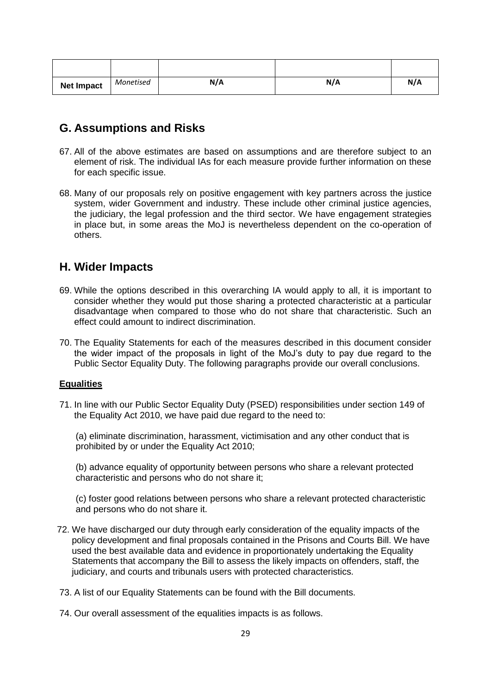| <b>Net Impact</b> | Monetised | N/A | N/A | N/A |
|-------------------|-----------|-----|-----|-----|

### **G. Assumptions and Risks**

- 67. All of the above estimates are based on assumptions and are therefore subject to an element of risk. The individual IAs for each measure provide further information on these for each specific issue.
- 68. Many of our proposals rely on positive engagement with key partners across the justice system, wider Government and industry. These include other criminal justice agencies, the judiciary, the legal profession and the third sector. We have engagement strategies in place but, in some areas the MoJ is nevertheless dependent on the co-operation of others.

### **H. Wider Impacts**

- 69. While the options described in this overarching IA would apply to all, it is important to consider whether they would put those sharing a protected characteristic at a particular disadvantage when compared to those who do not share that characteristic. Such an effect could amount to indirect discrimination.
- 70. The Equality Statements for each of the measures described in this document consider the wider impact of the proposals in light of the MoJ's duty to pay due regard to the Public Sector Equality Duty. The following paragraphs provide our overall conclusions.

#### **Equalities**

71. In line with our Public Sector Equality Duty (PSED) responsibilities under section 149 of the Equality Act 2010, we have paid due regard to the need to:

(a) eliminate discrimination, harassment, victimisation and any other conduct that is prohibited by or under the Equality Act 2010;

(b) advance equality of opportunity between persons who share a relevant protected characteristic and persons who do not share it;

(c) foster good relations between persons who share a relevant protected characteristic and persons who do not share it.

72. We have discharged our duty through early consideration of the equality impacts of the policy development and final proposals contained in the Prisons and Courts Bill. We have used the best available data and evidence in proportionately undertaking the Equality Statements that accompany the Bill to assess the likely impacts on offenders, staff, the judiciary, and courts and tribunals users with protected characteristics.

73. A list of our Equality Statements can be found with the Bill documents.

74. Our overall assessment of the equalities impacts is as follows.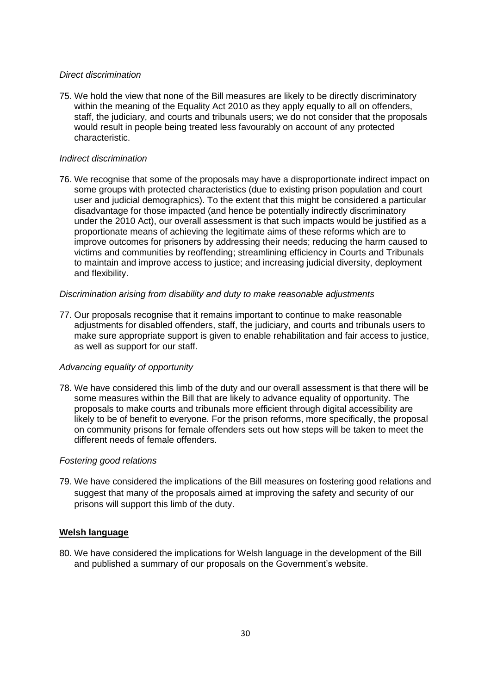#### *Direct discrimination*

75. We hold the view that none of the Bill measures are likely to be directly discriminatory within the meaning of the Equality Act 2010 as they apply equally to all on offenders. staff, the judiciary, and courts and tribunals users; we do not consider that the proposals would result in people being treated less favourably on account of any protected characteristic.

#### *Indirect discrimination*

76. We recognise that some of the proposals may have a disproportionate indirect impact on some groups with protected characteristics (due to existing prison population and court user and judicial demographics). To the extent that this might be considered a particular disadvantage for those impacted (and hence be potentially indirectly discriminatory under the 2010 Act), our overall assessment is that such impacts would be justified as a proportionate means of achieving the legitimate aims of these reforms which are to improve outcomes for prisoners by addressing their needs; reducing the harm caused to victims and communities by reoffending; streamlining efficiency in Courts and Tribunals to maintain and improve access to justice; and increasing judicial diversity, deployment and flexibility.

#### *Discrimination arising from disability and duty to make reasonable adjustments*

77. Our proposals recognise that it remains important to continue to make reasonable adjustments for disabled offenders, staff, the judiciary, and courts and tribunals users to make sure appropriate support is given to enable rehabilitation and fair access to justice, as well as support for our staff.

#### *Advancing equality of opportunity*

78. We have considered this limb of the duty and our overall assessment is that there will be some measures within the Bill that are likely to advance equality of opportunity. The proposals to make courts and tribunals more efficient through digital accessibility are likely to be of benefit to everyone. For the prison reforms, more specifically, the proposal on community prisons for female offenders sets out how steps will be taken to meet the different needs of female offenders.

#### *Fostering good relations*

79. We have considered the implications of the Bill measures on fostering good relations and suggest that many of the proposals aimed at improving the safety and security of our prisons will support this limb of the duty.

#### **Welsh language**

80. We have considered the implications for Welsh language in the development of the Bill and published a summary of our proposals on the Government's website.